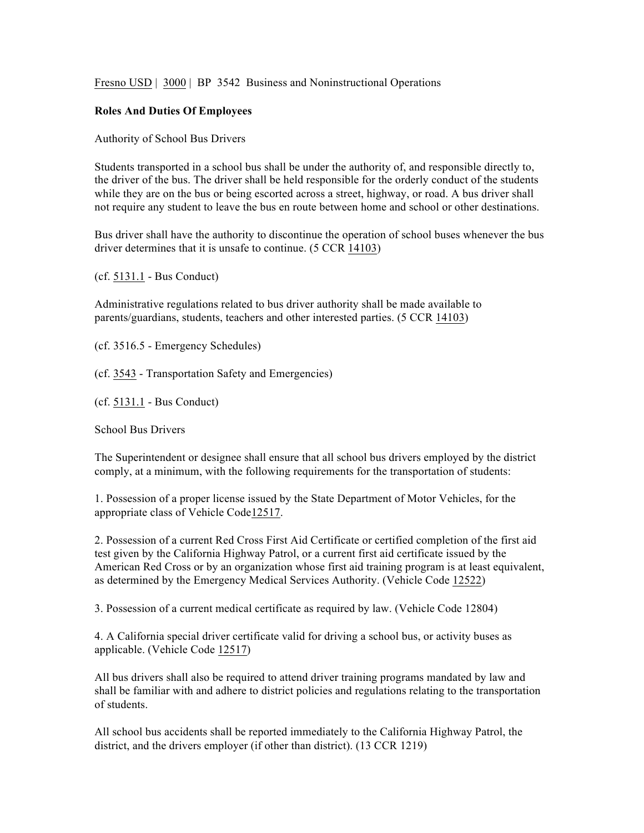Fresno USD | 3000 | BP 3542 Business and Noninstructional Operations

## **Roles And Duties Of Employees**

Authority of School Bus Drivers

Students transported in a school bus shall be under the authority of, and responsible directly to, the driver of the bus. The driver shall be held responsible for the orderly conduct of the students while they are on the bus or being escorted across a street, highway, or road. A bus driver shall not require any student to leave the bus en route between home and school or other destinations.

Bus driver shall have the authority to discontinue the operation of school buses whenever the bus driver determines that it is unsafe to continue. (5 CCR 14103)

(cf. 5131.1 - Bus Conduct)

Administrative regulations related to bus driver authority shall be made available to parents/guardians, students, teachers and other interested parties. (5 CCR 14103)

(cf. 3516.5 - Emergency Schedules)

(cf. 3543 - Transportation Safety and Emergencies)

(cf. 5131.1 - Bus Conduct)

School Bus Drivers

The Superintendent or designee shall ensure that all school bus drivers employed by the district comply, at a minimum, with the following requirements for the transportation of students:

1. Possession of a proper license issued by the State Department of Motor Vehicles, for the appropriate class of Vehicle Code12517.

2. Possession of a current Red Cross First Aid Certificate or certified completion of the first aid test given by the California Highway Patrol, or a current first aid certificate issued by the American Red Cross or by an organization whose first aid training program is at least equivalent, as determined by the Emergency Medical Services Authority. (Vehicle Code 12522)

3. Possession of a current medical certificate as required by law. (Vehicle Code 12804)

4. A California special driver certificate valid for driving a school bus, or activity buses as applicable. (Vehicle Code 12517)

All bus drivers shall also be required to attend driver training programs mandated by law and shall be familiar with and adhere to district policies and regulations relating to the transportation of students.

All school bus accidents shall be reported immediately to the California Highway Patrol, the district, and the drivers employer (if other than district). (13 CCR 1219)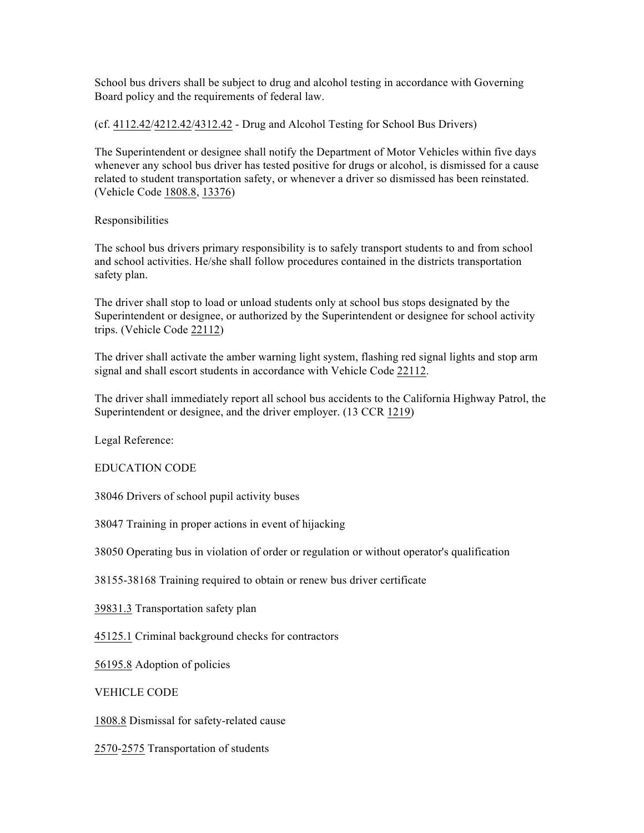School bus drivers shall be subject to drug and alcohol testing in accordance with Governing Board policy and the requirements of federal law.

(cf. 4112.42/4212.42/4312.42 - Drug and Alcohol Testing for School Bus Drivers)

The Superintendent or designee shall notify the Department of Motor Vehicles within five days whenever any school bus driver has tested positive for drugs or alcohol, is dismissed for a cause related to student transportation safety, or whenever a driver so dismissed has been reinstated. (Vehicle Code 1808.8, 13376)

Responsibilities

The school bus drivers primary responsibility is to safely transport students to and from school and school activities. He/she shall follow procedures contained in the districts transportation safety plan.

The driver shall stop to load or unload students only at school bus stops designated by the Superintendent or designee, or authorized by the Superintendent or designee for school activity trips. (Vehicle Code 22112)

The driver shall activate the amber warning light system, flashing red signal lights and stop arm signal and shall escort students in accordance with Vehicle Code 22112.

The driver shall immediately report all school bus accidents to the California Highway Patrol, the Superintendent or designee, and the driver employer. (13 CCR 1219)

Legal Reference:

EDUCATION CODE

38046 Drivers of school pupil activity buses

38047 Training in proper actions in event of hijacking

38050 Operating bus in violation of order or regulation or without operator's qualification

38155-38168 Training required to obtain or renew bus driver certificate

39831.3 Transportation safety plan

45125.1 Criminal background checks for contractors

56195.8 Adoption of policies

VEHICLE CODE

1808.8 Dismissal for safety-related cause

2570-2575 Transportation of students